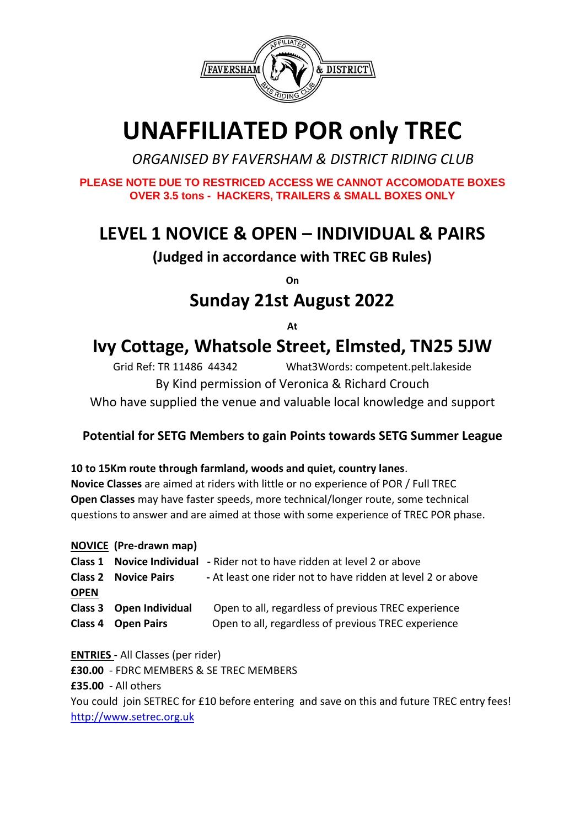

# **UNAFFILIATED POR only TREC**

 *ORGANISED BY FAVERSHAM & DISTRICT RIDING CLUB*

**PLEASE NOTE DUE TO RESTRICED ACCESS WE CANNOT ACCOMODATE BOXES OVER 3.5 tons - HACKERS, TRAILERS & SMALL BOXES ONLY** 

# **LEVEL 1 NOVICE & OPEN – INDIVIDUAL & PAIRS**

**(Judged in accordance with TREC GB Rules)**

**On** 

## **Sunday 21st August 2022**

**At** 

# **Ivy Cottage, Whatsole Street, Elmsted, TN25 5JW**

Grid Ref: TR 11486 44342 What3Words: competent.pelt.lakeside By Kind permission of Veronica & Richard Crouch Who have supplied the venue and valuable local knowledge and support

### **Potential for SETG Members to gain Points towards SETG Summer League**

### **10 to 15Km route through farmland, woods and quiet, country lanes**.

**Novice Classes** are aimed at riders with little or no experience of POR / Full TREC **Open Classes** may have faster speeds, more technical/longer route, some technical questions to answer and are aimed at those with some experience of TREC POR phase.

**NOVICE (Pre-drawn map) Class 1 Novice Individual -** Rider not to have ridden at level 2 or above **Class 2 Novice Pairs -** At least one rider not to have ridden at level 2 or above **OPEN**

**Class 3 Open Individual** Open to all, regardless of previous TREC experience

**Class 4 Open Pairs** Open to all, regardless of previous TREC experience

**ENTRIES** - All Classes (per rider) **£30.00** - FDRC MEMBERS & SE TREC MEMBERS **£35.00** - All others You could join SETREC for £10 before entering and save on this and future TREC entry fees! [http://www.setrec.org.uk](http://www.setrec.org.uk/)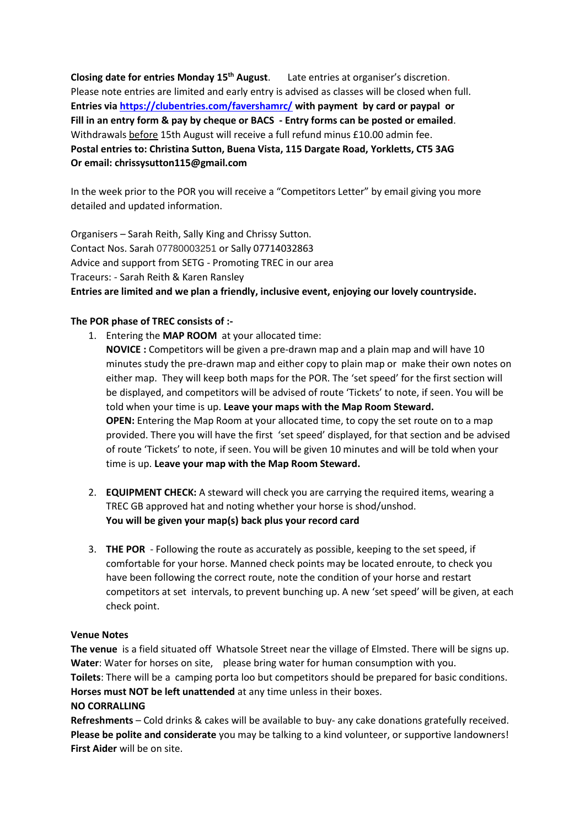**Closing date for entries Monday 15th August**. Late entries at organiser's discretion. Please note entries are limited and early entry is advised as classes will be closed when full. **Entries via<https://clubentries.com/favershamrc/> with payment by card or paypal or Fill in an entry form & pay by cheque or BACS - Entry forms can be posted or emailed**. Withdrawals before 15th August will receive a full refund minus £10.00 admin fee. **Postal entries to: Christina Sutton, Buena Vista, 115 Dargate Road, Yorkletts, CT5 3AG Or email: chrissysutton115@gmail.com**

In the week prior to the POR you will receive a "Competitors Letter" by email giving you more detailed and updated information.

Organisers – Sarah Reith, Sally King and Chrissy Sutton. Contact Nos. Sarah 07780003251 or Sally 07714032863 Advice and support from SETG - Promoting TREC in our area Traceurs: - Sarah Reith & Karen Ransley **Entries are limited and we plan a friendly, inclusive event, enjoying our lovely countryside.**

#### **The POR phase of TREC consists of :-**

- 1. Entering the **MAP ROOM** at your allocated time: **NOVICE :** Competitors will be given a pre-drawn map and a plain map and will have 10 minutes study the pre-drawn map and either copy to plain map or make their own notes on either map. They will keep both maps for the POR. The 'set speed' for the first section will be displayed, and competitors will be advised of route 'Tickets' to note, if seen. You will be told when your time is up. **Leave your maps with the Map Room Steward. OPEN:** Entering the Map Room at your allocated time, to copy the set route on to a map provided. There you will have the first 'set speed' displayed, for that section and be advised of route 'Tickets' to note, if seen. You will be given 10 minutes and will be told when your time is up. **Leave your map with the Map Room Steward.**
- 2. **EQUIPMENT CHECK:** A steward will check you are carrying the required items, wearing a TREC GB approved hat and noting whether your horse is shod/unshod. **You will be given your map(s) back plus your record card**
- 3. **THE POR** Following the route as accurately as possible, keeping to the set speed, if comfortable for your horse. Manned check points may be located enroute, to check you have been following the correct route, note the condition of your horse and restart competitors at set intervals, to prevent bunching up. A new 'set speed' will be given, at each check point.

#### **Venue Notes**

**The venue** is a field situated off Whatsole Street near the village of Elmsted. There will be signs up. **Water**: Water for horses on site, please bring water for human consumption with you. **Toilets**: There will be a camping porta loo but competitors should be prepared for basic conditions. **Horses must NOT be left unattended** at any time unless in their boxes. **NO CORRALLING**

**Refreshments** – Cold drinks & cakes will be available to buy- any cake donations gratefully received. **Please be polite and considerate** you may be talking to a kind volunteer, or supportive landowners! **First Aider** will be on site.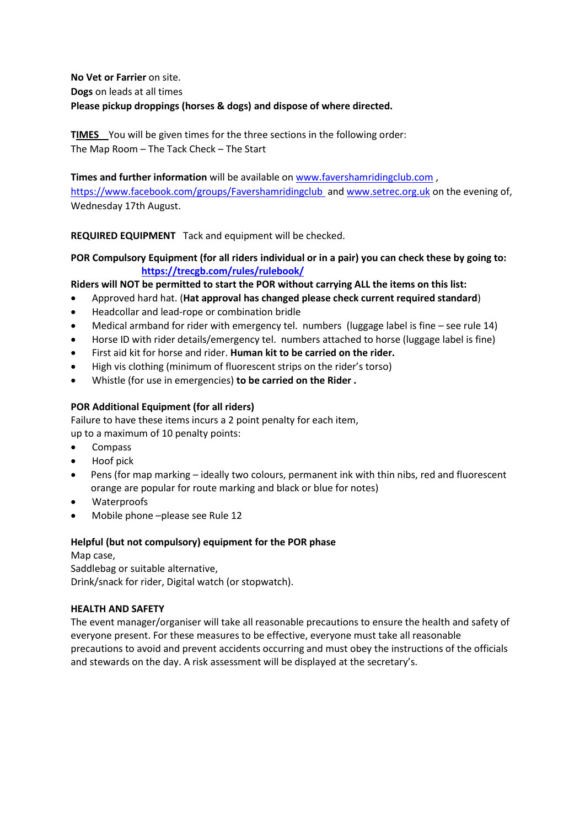**No Vet or Farrier** on site. **Dogs** on leads at all times **Please pickup droppings (horses & dogs) and dispose of where directed.**

**TIMES** You will be given times for the three sections in the following order: The Map Room – The Tack Check – The Start

**Times and further information** will be available on [www.favershamridingclub.com](http://www.favershamridingclub.com/) , <https://www.facebook.com/groups/Favershamridingclub>and [www.setrec.org.uk](http://www.setrec.org.uk/) on the evening of, Wednesday 17th August.

**REQUIRED EQUIPMENT** Tack and equipment will be checked.

**POR Compulsory Equipment (for all riders individual or in a pair) you can check these by going to: <https://trecgb.com/rules/rulebook/>**

**Riders will NOT be permitted to start the POR without carrying ALL the items on this list:** 

- Approved hard hat. (**Hat approval has changed please check current required standard**)
- Headcollar and lead-rope or combination bridle
- Medical armband for rider with emergency tel. numbers (luggage label is fine see rule 14)
- Horse ID with rider details/emergency tel. numbers attached to horse (luggage label is fine)
- First aid kit for horse and rider. **Human kit to be carried on the rider.**
- High vis clothing (minimum of fluorescent strips on the rider's torso)
- Whistle (for use in emergencies) **to be carried on the Rider .**

#### **POR Additional Equipment (for all riders)**

Failure to have these items incurs a 2 point penalty for each item, up to a maximum of 10 penalty points:

- Compass
- Hoof pick
- Pens (for map marking ideally two colours, permanent ink with thin nibs, red and fluorescent orange are popular for route marking and black or blue for notes)
- Waterproofs
- Mobile phone –please see Rule 12

#### **Helpful (but not compulsory) equipment for the POR phase**

Map case, Saddlebag or suitable alternative, Drink/snack for rider, Digital watch (or stopwatch).

#### **HEALTH AND SAFETY**

The event manager/organiser will take all reasonable precautions to ensure the health and safety of everyone present. For these measures to be effective, everyone must take all reasonable precautions to avoid and prevent accidents occurring and must obey the instructions of the officials and stewards on the day. A risk assessment will be displayed at the secretary's.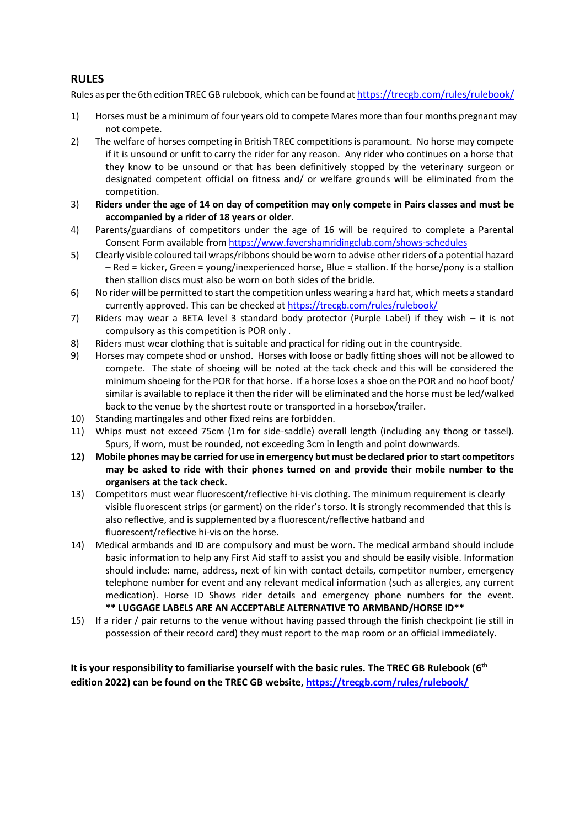#### **RULES**

Rules as per the 6th edition TREC GB rulebook, which can be found at <https://trecgb.com/rules/rulebook/>

- 1) Horses must be a minimum of four years old to compete Mares more than four months pregnant may not compete.
- 2) The welfare of horses competing in British TREC competitions is paramount. No horse may compete if it is unsound or unfit to carry the rider for any reason. Any rider who continues on a horse that they know to be unsound or that has been definitively stopped by the veterinary surgeon or designated competent official on fitness and/ or welfare grounds will be eliminated from the competition.
- 3) **Riders under the age of 14 on day of competition may only compete in Pairs classes and must be accompanied by a rider of 18 years or older**.
- 4) Parents/guardians of competitors under the age of 16 will be required to complete a Parental Consent Form available from <https://www.favershamridingclub.com/shows-schedules>
- 5) Clearly visible coloured tail wraps/ribbons should be worn to advise other riders of a potential hazard – Red = kicker, Green = young/inexperienced horse, Blue = stallion. If the horse/pony is a stallion then stallion discs must also be worn on both sides of the bridle.
- 6) No rider will be permitted to start the competition unless wearing a hard hat, which meets a standard currently approved. This can be checked a[t https://trecgb.com/rules/rulebook/](https://trecgb.com/rules/rulebook/)
- 7) Riders may wear a BETA level 3 standard body protector (Purple Label) if they wish it is not compulsory as this competition is POR only .
- 8) Riders must wear clothing that is suitable and practical for riding out in the countryside.
- 9) Horses may compete shod or unshod. Horses with loose or badly fitting shoes will not be allowed to compete. The state of shoeing will be noted at the tack check and this will be considered the minimum shoeing for the POR for that horse. If a horse loses a shoe on the POR and no hoof boot/ similar is available to replace it then the rider will be eliminated and the horse must be led/walked back to the venue by the shortest route or transported in a horsebox/trailer.
- 10) Standing martingales and other fixed reins are forbidden.
- 11) Whips must not exceed 75cm (1m for side-saddle) overall length (including any thong or tassel). Spurs, if worn, must be rounded, not exceeding 3cm in length and point downwards.
- **12) Mobile phones may be carried for use in emergency but must be declared prior to start competitors may be asked to ride with their phones turned on and provide their mobile number to the organisers at the tack check.**
- 13) Competitors must wear fluorescent/reflective hi-vis clothing. The minimum requirement is clearly visible fluorescent strips (or garment) on the rider's torso. It is strongly recommended that this is also reflective, and is supplemented by a fluorescent/reflective hatband and fluorescent/reflective hi-vis on the horse.
- 14) Medical armbands and ID are compulsory and must be worn. The medical armband should include basic information to help any First Aid staff to assist you and should be easily visible. Information should include: name, address, next of kin with contact details, competitor number, emergency telephone number for event and any relevant medical information (such as allergies, any current medication). Horse ID Shows rider details and emergency phone numbers for the event. **\*\* LUGGAGE LABELS ARE AN ACCEPTABLE ALTERNATIVE TO ARMBAND/HORSE ID\*\***
- 15) If a rider / pair returns to the venue without having passed through the finish checkpoint (ie still in possession of their record card) they must report to the map room or an official immediately.

**It is your responsibility to familiarise yourself with the basic rules. The TREC GB Rulebook (6 th edition 2022) can be found on the TREC GB website, <https://trecgb.com/rules/rulebook/>**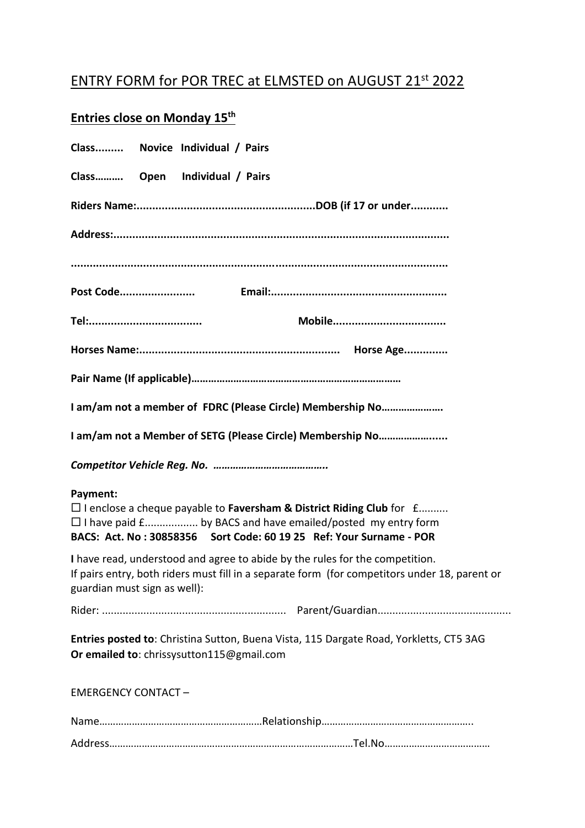### ENTRY FORM for POR TREC at ELMSTED on AUGUST 21st 2022

### Entries close on Monday 15<sup>th</sup>

| Class Novice Individual / Pairs                                                                                                                                                                                                             |
|---------------------------------------------------------------------------------------------------------------------------------------------------------------------------------------------------------------------------------------------|
| Class Open Individual / Pairs                                                                                                                                                                                                               |
|                                                                                                                                                                                                                                             |
|                                                                                                                                                                                                                                             |
|                                                                                                                                                                                                                                             |
|                                                                                                                                                                                                                                             |
|                                                                                                                                                                                                                                             |
|                                                                                                                                                                                                                                             |
|                                                                                                                                                                                                                                             |
| I am/am not a member of FDRC (Please Circle) Membership No                                                                                                                                                                                  |
| I am/am not a Member of SETG (Please Circle) Membership No                                                                                                                                                                                  |
|                                                                                                                                                                                                                                             |
| Payment:<br>$\square$ I enclose a cheque payable to Faversham & District Riding Club for $f$<br>$\Box$ I have paid $f$ by BACS and have emailed/posted my entry form<br>BACS: Act. No: 30858356 Sort Code: 60 19 25 Ref: Your Surname - POR |
| I have read, understood and agree to abide by the rules for the competition.<br>If pairs entry, both riders must fill in a separate form (for competitors under 18, parent or<br>guardian must sign as well):                               |
|                                                                                                                                                                                                                                             |
| Entries posted to: Christina Sutton, Buena Vista, 115 Dargate Road, Yorkletts, CT5 3AG<br>Or emailed to: chrissysutton115@gmail.com                                                                                                         |
| <b>EMERGENCY CONTACT-</b>                                                                                                                                                                                                                   |
|                                                                                                                                                                                                                                             |
|                                                                                                                                                                                                                                             |